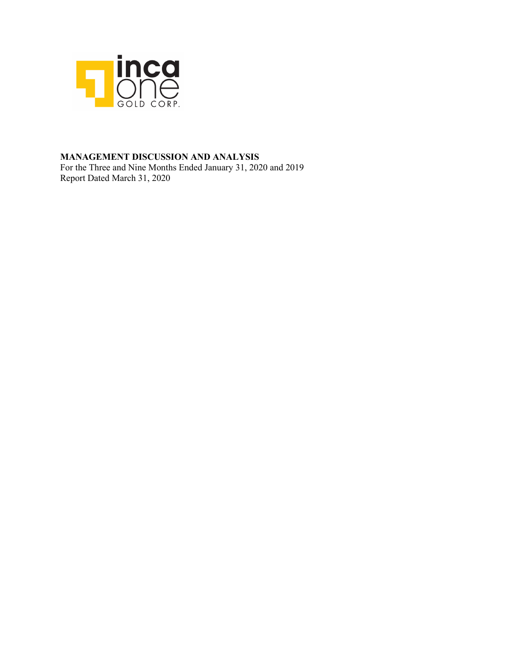

# **MANAGEMENT DISCUSSION AND ANALYSIS** For the Three and Nine Months Ended January 31, 2020 and 2019 Report Dated March 31, 2020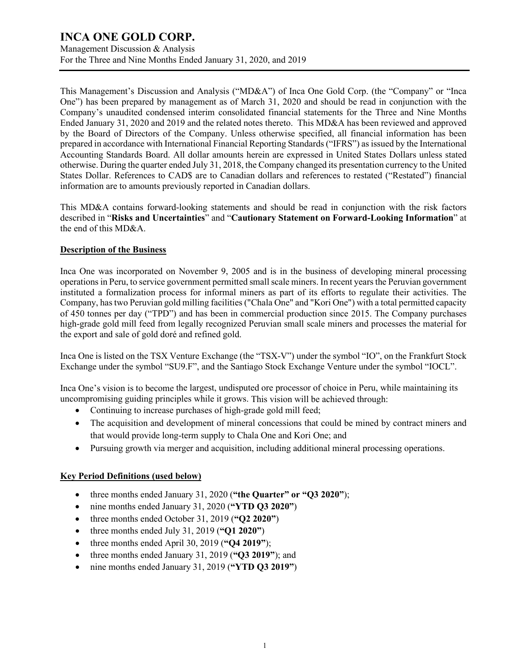Management Discussion & Analysis For the Three and Nine Months Ended January 31, 2020, and 2019

This Management's Discussion and Analysis ("MD&A") of Inca One Gold Corp. (the "Company" or "Inca One") has been prepared by management as of March 31, 2020 and should be read in conjunction with the Company's unaudited condensed interim consolidated financial statements for the Three and Nine Months Ended January 31, 2020 and 2019 and the related notes thereto. This MD&A has been reviewed and approved by the Board of Directors of the Company. Unless otherwise specified, all financial information has been prepared in accordance with International Financial Reporting Standards ("IFRS") as issued by the International Accounting Standards Board. All dollar amounts herein are expressed in United States Dollars unless stated otherwise. During the quarter ended July 31, 2018, the Company changed its presentation currency to the United States Dollar. References to CAD\$ are to Canadian dollars and references to restated ("Restated") financial information are to amounts previously reported in Canadian dollars.

This MD&A contains forward-looking statements and should be read in conjunction with the risk factors described in "**Risks and Uncertainties**" and "**Cautionary Statement on Forward-Looking Information**" at the end of this MD&A.

# **Description of the Business**

Inca One was incorporated on November 9, 2005 and is in the business of developing mineral processing operations in Peru, to service government permitted small scale miners. In recent years the Peruvian government instituted a formalization process for informal miners as part of its efforts to regulate their activities. The Company, hastwo Peruvian gold milling facilities ("Chala One" and "Kori One") with a total permitted capacity of 450 tonnes per day ("TPD") and has been in commercial production since 2015. The Company purchases high-grade gold mill feed from legally recognized Peruvian small scale miners and processes the material for the export and sale of gold doré and refined gold.

Inca One is listed on the TSX Venture Exchange (the "TSX-V") under the symbol "IO", on the Frankfurt Stock Exchange under the symbol "SU9.F", and the Santiago Stock Exchange Venture under the symbol "IOCL".

Inca One's vision is to become the largest, undisputed ore processor of choice in Peru, while maintaining its uncompromising guiding principles while it grows. This vision will be achieved through:

- Continuing to increase purchases of high-grade gold mill feed;
- The acquisition and development of mineral concessions that could be mined by contract miners and that would provide long-term supply to Chala One and Kori One; and
- Pursuing growth via merger and acquisition, including additional mineral processing operations.

# **Key Period Definitions (used below)**

- three months ended January 31, 2020 (**"the Quarter" or "Q3 2020"**);
- nine months ended January 31, 2020 (**"YTD Q3 2020"**)
- three months ended October 31, 2019 (**"Q2 2020"**)
- three months ended July 31, 2019 (**"Q1 2020"**)
- three months ended April 30, 2019 (**"Q4 2019"**);
- three months ended January 31, 2019 (**"Q3 2019"**); and
- nine months ended January 31, 2019 (**"YTD Q3 2019"**)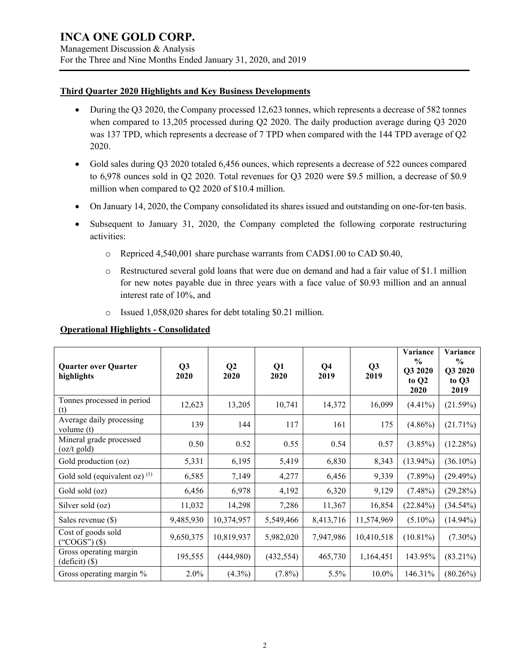Management Discussion & Analysis For the Three and Nine Months Ended January 31, 2020, and 2019

## **Third Quarter 2020 Highlights and Key Business Developments**

- During the Q3 2020, the Company processed 12,623 tonnes, which represents a decrease of 582 tonnes when compared to 13,205 processed during Q2 2020. The daily production average during Q3 2020 was 137 TPD, which represents a decrease of 7 TPD when compared with the 144 TPD average of Q2 2020.
- Gold sales during Q3 2020 totaled 6,456 ounces, which represents a decrease of 522 ounces compared to 6,978 ounces sold in Q2 2020. Total revenues for Q3 2020 were \$9.5 million, a decrease of \$0.9 million when compared to Q2 2020 of \$10.4 million.
- On January 14, 2020, the Company consolidated its shares issued and outstanding on one-for-ten basis.
- Subsequent to January 31, 2020, the Company completed the following corporate restructuring activities:
	- o Repriced 4,540,001 share purchase warrants from CAD\$1.00 to CAD \$0.40,
	- $\circ$  Restructured several gold loans that were due on demand and had a fair value of \$1.1 million for new notes payable due in three years with a face value of \$0.93 million and an annual interest rate of 10%, and
	- o Issued 1,058,020 shares for debt totaling \$0.21 million.

# **Operational Highlights - Consolidated**

| <b>Quarter over Quarter</b><br>highlights                   | Q <sub>3</sub><br>2020 | Q <sub>2</sub><br>2020 | Q1<br>2020 | Q <sub>4</sub><br>2019 | Q3<br>2019 | Variance<br>$\frac{0}{0}$<br>Q3 2020<br>to Q <sub>2</sub><br>2020 | Variance<br>$\frac{0}{0}$<br>Q3 2020<br>to Q3<br>2019 |
|-------------------------------------------------------------|------------------------|------------------------|------------|------------------------|------------|-------------------------------------------------------------------|-------------------------------------------------------|
| Tonnes processed in period<br>(t)                           | 12,623                 | 13,205                 | 10,741     | 14,372                 | 16,099     | $(4.41\%)$                                                        | (21.59%)                                              |
| Average daily processing<br>volume (t)                      | 139                    | 144                    | 117        | 161                    | 175        | $(4.86\%)$                                                        | $(21.71\%)$                                           |
| Mineral grade processed<br>$\left(oz/t \text{ gold}\right)$ | 0.50                   | 0.52                   | 0.55       | 0.54                   | 0.57       | $(3.85\%)$                                                        | $(12.28\%)$                                           |
| Gold production (oz)                                        | 5,331                  | 6,195                  | 5,419      | 6,830                  | 8,343      | $(13.94\%)$                                                       | $(36.10\%)$                                           |
| Gold sold (equivalent oz) <sup>(1)</sup>                    | 6,585                  | 7,149                  | 4,277      | 6,456                  | 9,339      | $(7.89\%)$                                                        | (29.49%)                                              |
| Gold sold (oz)                                              | 6,456                  | 6,978                  | 4,192      | 6,320                  | 9,129      | $(7.48\%)$                                                        | (29.28%)                                              |
| Silver sold (oz)                                            | 11,032                 | 14,298                 | 7,286      | 11,367                 | 16,854     | $(22.84\%)$                                                       | $(34.54\%)$                                           |
| Sales revenue $(\$)$                                        | 9,485,930              | 10,374,957             | 5,549,466  | 8,413,716              | 11,574,969 | $(5.10\%)$                                                        | $(14.94\%)$                                           |
| Cost of goods sold<br>$("COGS")$ $(\$)$                     | 9,650,375              | 10,819,937             | 5,982,020  | 7,947,986              | 10,410,518 | $(10.81\%)$                                                       | $(7.30\%)$                                            |
| Gross operating margin<br>$(\text{deficit})$ $(\$)$         | 195,555                | (444,980)              | (432, 554) | 465,730                | 1,164,451  | 143.95%                                                           | $(83.21\%)$                                           |
| Gross operating margin %                                    | $2.0\%$                | $(4.3\%)$              | $(7.8\%)$  | $5.5\%$                | 10.0%      | 146.31%                                                           | $(80.26\%)$                                           |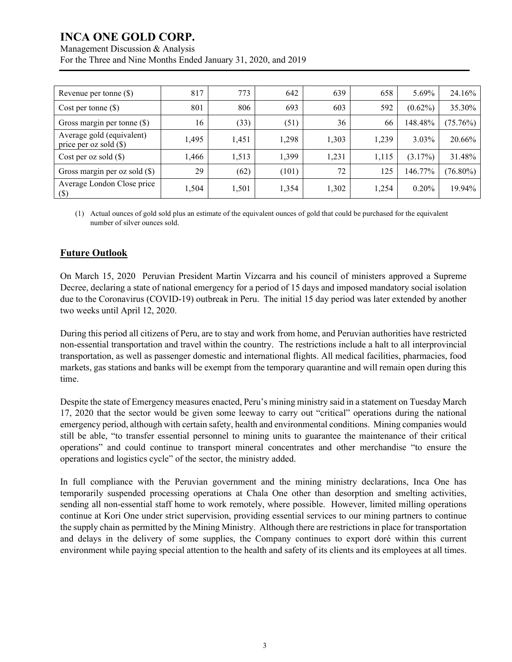| Management Discussion & Analysis                               |  |
|----------------------------------------------------------------|--|
| For the Three and Nine Months Ended January 31, 2020, and 2019 |  |

| Revenue per tonne $(\$)$                              | 817   | 773   | 642   | 639   | 658   | 5.69%      | 24.16%      |
|-------------------------------------------------------|-------|-------|-------|-------|-------|------------|-------------|
| Cost per tonne $(\$)$                                 | 801   | 806   | 693   | 603   | 592   | $(0.62\%)$ | 35.30%      |
| Gross margin per tonne $(\$)$                         | 16    | (33)  | (51)  | 36    | 66    | 148.48%    | $(75.76\%)$ |
| Average gold (equivalent)<br>price per oz sold $(\$)$ | 1,495 | 1,451 | 1,298 | 1,303 | 1,239 | $3.03\%$   | 20.66%      |
| Cost per oz sold $(\$)$                               | 1,466 | 1,513 | 1,399 | 1,231 | 1,115 | $(3.17\%)$ | 31.48%      |
| Gross margin per oz sold $(\$)$                       | 29    | (62)  | (101) | 72    | 125   | 146.77%    | $(76.80\%)$ |
| Average London Close price<br>$(\$)$                  | 1,504 | 1,501 | 1,354 | 1,302 | 1,254 | 0.20%      | 19.94%      |

(1) Actual ounces of gold sold plus an estimate of the equivalent ounces of gold that could be purchased for the equivalent number of silver ounces sold.

# **Future Outlook**

On March 15, 2020 Peruvian President Martin Vizcarra and his council of ministers approved a Supreme Decree, declaring a state of national emergency for a period of 15 days and imposed mandatory social isolation due to the Coronavirus (COVID-19) outbreak in Peru. The initial 15 day period was later extended by another two weeks until April 12, 2020.

During this period all citizens of Peru, are to stay and work from home, and Peruvian authorities have restricted non-essential transportation and travel within the country. The restrictions include a halt to all interprovincial transportation, as well as passenger domestic and international flights. All medical facilities, pharmacies, food markets, gas stations and banks will be exempt from the temporary quarantine and will remain open during this time.

Despite the state of Emergency measures enacted, Peru's mining ministry said in a statement on Tuesday March 17, 2020 that the sector would be given some leeway to carry out "critical" operations during the national emergency period, although with certain safety, health and environmental conditions. Mining companies would still be able, "to transfer essential personnel to mining units to guarantee the maintenance of their critical operations" and could continue to transport mineral concentrates and other merchandise "to ensure the operations and logistics cycle" of the sector, the ministry added.

In full compliance with the Peruvian government and the mining ministry declarations, Inca One has temporarily suspended processing operations at Chala One other than desorption and smelting activities, sending all non-essential staff home to work remotely, where possible. However, limited milling operations continue at Kori One under strict supervision, providing essential services to our mining partners to continue the supply chain as permitted by the Mining Ministry. Although there are restrictions in place for transportation and delays in the delivery of some supplies, the Company continues to export doré within this current environment while paying special attention to the health and safety of its clients and its employees at all times.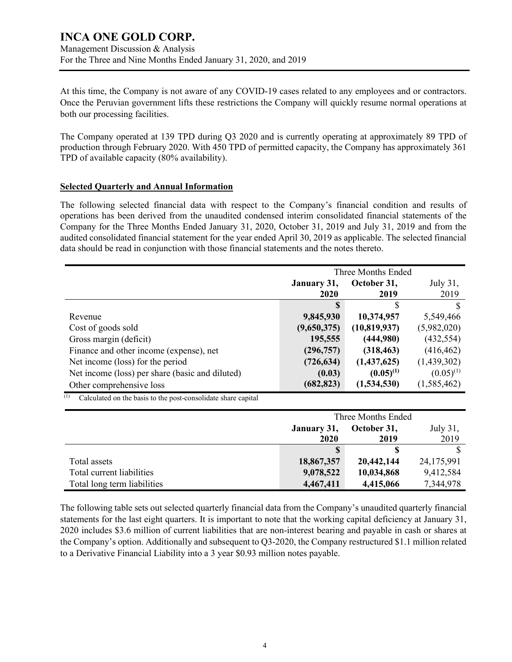# **INCA ONE GOLD CORP.** Management Discussion & Analysis For the Three and Nine Months Ended January 31, 2020, and 2019

At this time, the Company is not aware of any COVID-19 cases related to any employees and or contractors. Once the Peruvian government lifts these restrictions the Company will quickly resume normal operations at both our processing facilities.

The Company operated at 139 TPD during Q3 2020 and is currently operating at approximately 89 TPD of production through February 2020. With 450 TPD of permitted capacity, the Company has approximately 361 TPD of available capacity (80% availability).

## **Selected Quarterly and Annual Information**

The following selected financial data with respect to the Company's financial condition and results of operations has been derived from the unaudited condensed interim consolidated financial statements of the Company for the Three Months Ended January 31, 2020, October 31, 2019 and July 31, 2019 and from the audited consolidated financial statement for the year ended April 30, 2019 as applicable. The selected financial data should be read in conjunction with those financial statements and the notes thereto.

|                                                 | Three Months Ended |                |                |  |
|-------------------------------------------------|--------------------|----------------|----------------|--|
|                                                 | January 31,        | October 31,    | July 31,       |  |
|                                                 | 2020               | 2019           | 2019           |  |
|                                                 |                    |                |                |  |
| Revenue                                         | 9,845,930          | 10,374,957     | 5,549,466      |  |
| Cost of goods sold                              | (9,650,375)        | (10, 819, 937) | (5,982,020)    |  |
| Gross margin (deficit)                          | 195,555            | (444,980)      | (432, 554)     |  |
| Finance and other income (expense), net         | (296,757)          | (318, 463)     | (416, 462)     |  |
| Net income (loss) for the period                | (726, 634)         | (1,437,625)    | (1,439,302)    |  |
| Net income (loss) per share (basic and diluted) | (0.03)             | $(0.05)^{(1)}$ | $(0.05)^{(1)}$ |  |
| Other comprehensive loss                        | (682, 823)         | (1,534,530)    | (1,585,462)    |  |

(1) Calculated on the basis to the post-consolidate share capital

|                             | Three Months Ended                     |            |            |  |
|-----------------------------|----------------------------------------|------------|------------|--|
|                             | July 31,<br>October 31,<br>January 31, |            |            |  |
|                             | 2020                                   | 2019       | 2019       |  |
|                             |                                        |            |            |  |
| Total assets                | 18,867,357                             | 20,442,144 | 24,175,991 |  |
| Total current liabilities   | 9,078,522                              | 10,034,868 | 9,412,584  |  |
| Total long term liabilities | 4,467,411                              | 4,415,066  | 7,344,978  |  |

The following table sets out selected quarterly financial data from the Company's unaudited quarterly financial statements for the last eight quarters. It is important to note that the working capital deficiency at January 31, 2020 includes \$3.6 million of current liabilities that are non-interest bearing and payable in cash or shares at the Company's option. Additionally and subsequent to Q3-2020, the Company restructured \$1.1 million related to a Derivative Financial Liability into a 3 year \$0.93 million notes payable.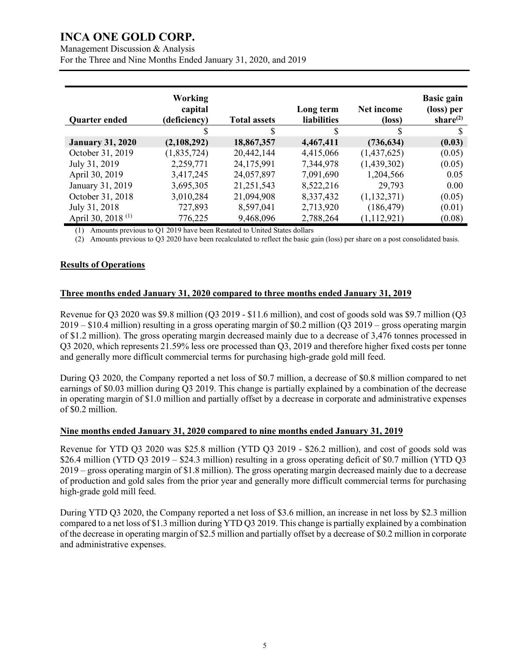Management Discussion & Analysis

For the Three and Nine Months Ended January 31, 2020, and 2019

| <b>Quarter ended</b>          | Working<br>capital<br>(deficiency) | <b>Total assets</b> | Long term<br>liabilities | Net income<br>(loss) | <b>Basic gain</b><br>(loss) per<br>share $^{(2)}$ |
|-------------------------------|------------------------------------|---------------------|--------------------------|----------------------|---------------------------------------------------|
|                               |                                    | \$                  | \$                       | \$                   |                                                   |
| <b>January 31, 2020</b>       | (2,108,292)                        | 18,867,357          | 4,467,411                | (736, 634)           | (0.03)                                            |
| October 31, 2019              | (1,835,724)                        | 20,442,144          | 4,415,066                | (1,437,625)          | (0.05)                                            |
| July 31, 2019                 | 2,259,771                          | 24,175,991          | 7,344,978                | (1,439,302)          | (0.05)                                            |
| April 30, 2019                | 3,417,245                          | 24,057,897          | 7,091,690                | 1,204,566            | 0.05                                              |
| January 31, 2019              | 3,695,305                          | 21,251,543          | 8,522,216                | 29,793               | 0.00                                              |
| October 31, 2018              | 3,010,284                          | 21,094,908          | 8,337,432                | (1,132,371)          | (0.05)                                            |
| July 31, 2018                 | 727,893                            | 8,597,041           | 2,713,920                | (186, 479)           | (0.01)                                            |
| April 30, 2018 <sup>(1)</sup> | 776,225                            | 9,468,096           | 2,788,264                | (1,112,921)          | (0.08)                                            |

(1) Amounts previous to Q1 2019 have been Restated to United States dollars

(2) Amounts previous to Q3 2020 have been recalculated to reflect the basic gain (loss) per share on a post consolidated basis.

# **Results of Operations**

## **Three months ended January 31, 2020 compared to three months ended January 31, 2019**

Revenue for Q3 2020 was \$9.8 million (Q3 2019 - \$11.6 million), and cost of goods sold was \$9.7 million (Q3 2019 – \$10.4 million) resulting in a gross operating margin of \$0.2 million (Q3 2019 – gross operating margin of \$1.2 million). The gross operating margin decreased mainly due to a decrease of 3,476 tonnes processed in Q3 2020, which represents 21.59% less ore processed than Q3, 2019 and therefore higher fixed costs per tonne and generally more difficult commercial terms for purchasing high-grade gold mill feed.

During Q3 2020, the Company reported a net loss of \$0.7 million, a decrease of \$0.8 million compared to net earnings of \$0.03 million during Q3 2019. This change is partially explained by a combination of the decrease in operating margin of \$1.0 million and partially offset by a decrease in corporate and administrative expenses of \$0.2 million.

## **Nine months ended January 31, 2020 compared to nine months ended January 31, 2019**

Revenue for YTD Q3 2020 was \$25.8 million (YTD Q3 2019 - \$26.2 million), and cost of goods sold was \$26.4 million (YTD Q3 2019 – \$24.3 million) resulting in a gross operating deficit of \$0.7 million (YTD Q3 2019 – gross operating margin of \$1.8 million). The gross operating margin decreased mainly due to a decrease of production and gold sales from the prior year and generally more difficult commercial terms for purchasing high-grade gold mill feed.

During YTD Q3 2020, the Company reported a net loss of \$3.6 million, an increase in net loss by \$2.3 million compared to a net loss of \$1.3 million during YTD Q3 2019. This change is partially explained by a combination of the decrease in operating margin of \$2.5 million and partially offset by a decrease of \$0.2 million in corporate and administrative expenses.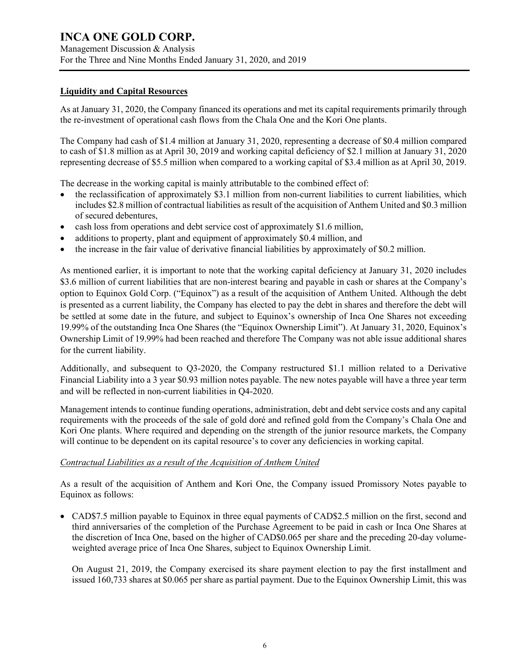Management Discussion & Analysis For the Three and Nine Months Ended January 31, 2020, and 2019

#### **Liquidity and Capital Resources**

As at January 31, 2020, the Company financed its operations and met its capital requirements primarily through the re-investment of operational cash flows from the Chala One and the Kori One plants.

The Company had cash of \$1.4 million at January 31, 2020, representing a decrease of \$0.4 million compared to cash of \$1.8 million as at April 30, 2019 and working capital deficiency of \$2.1 million at January 31, 2020 representing decrease of \$5.5 million when compared to a working capital of \$3.4 million as at April 30, 2019.

The decrease in the working capital is mainly attributable to the combined effect of:

- the reclassification of approximately \$3.1 million from non-current liabilities to current liabilities, which includes \$2.8 million of contractual liabilities as result of the acquisition of Anthem United and \$0.3 million of secured debentures,
- cash loss from operations and debt service cost of approximately \$1.6 million,
- additions to property, plant and equipment of approximately \$0.4 million, and
- the increase in the fair value of derivative financial liabilities by approximately of \$0.2 million.

As mentioned earlier, it is important to note that the working capital deficiency at January 31, 2020 includes \$3.6 million of current liabilities that are non-interest bearing and payable in cash or shares at the Company's option to Equinox Gold Corp. ("Equinox") as a result of the acquisition of Anthem United. Although the debt is presented as a current liability, the Company has elected to pay the debt in shares and therefore the debt will be settled at some date in the future, and subject to Equinox's ownership of Inca One Shares not exceeding 19.99% of the outstanding Inca One Shares (the "Equinox Ownership Limit"). At January 31, 2020, Equinox's Ownership Limit of 19.99% had been reached and therefore The Company was not able issue additional shares for the current liability.

Additionally, and subsequent to Q3-2020, the Company restructured \$1.1 million related to a Derivative Financial Liability into a 3 year \$0.93 million notes payable. The new notes payable will have a three year term and will be reflected in non-current liabilities in Q4-2020.

Management intends to continue funding operations, administration, debt and debt service costs and any capital requirements with the proceeds of the sale of gold doré and refined gold from the Company's Chala One and Kori One plants. Where required and depending on the strength of the junior resource markets, the Company will continue to be dependent on its capital resource's to cover any deficiencies in working capital.

## *Contractual Liabilities as a result of the Acquisition of Anthem United*

As a result of the acquisition of Anthem and Kori One, the Company issued Promissory Notes payable to Equinox as follows:

• CAD\$7.5 million payable to Equinox in three equal payments of CAD\$2.5 million on the first, second and third anniversaries of the completion of the Purchase Agreement to be paid in cash or Inca One Shares at the discretion of Inca One, based on the higher of CAD\$0.065 per share and the preceding 20-day volumeweighted average price of Inca One Shares, subject to Equinox Ownership Limit.

On August 21, 2019, the Company exercised its share payment election to pay the first installment and issued 160,733 shares at \$0.065 per share as partial payment. Due to the Equinox Ownership Limit, this was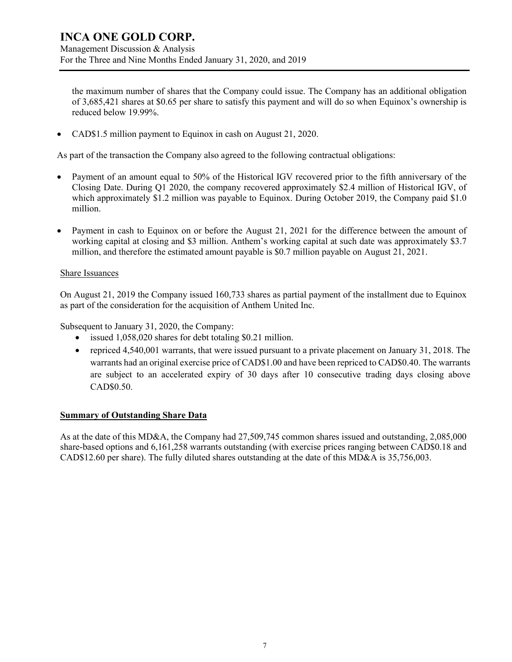the maximum number of shares that the Company could issue. The Company has an additional obligation of 3,685,421 shares at \$0.65 per share to satisfy this payment and will do so when Equinox's ownership is reduced below 19.99%.

• CAD\$1.5 million payment to Equinox in cash on August 21, 2020.

As part of the transaction the Company also agreed to the following contractual obligations:

- Payment of an amount equal to 50% of the Historical IGV recovered prior to the fifth anniversary of the Closing Date. During Q1 2020, the company recovered approximately \$2.4 million of Historical IGV, of which approximately \$1.2 million was payable to Equinox. During October 2019, the Company paid \$1.0 million.
- Payment in cash to Equinox on or before the August 21, 2021 for the difference between the amount of working capital at closing and \$3 million. Anthem's working capital at such date was approximately \$3.7 million, and therefore the estimated amount payable is \$0.7 million payable on August 21, 2021.

## Share Issuances

On August 21, 2019 the Company issued 160,733 shares as partial payment of the installment due to Equinox as part of the consideration for the acquisition of Anthem United Inc.

Subsequent to January 31, 2020, the Company:

- issued 1,058,020 shares for debt totaling \$0.21 million.
- repriced 4,540,001 warrants, that were issued pursuant to a private placement on January 31, 2018. The warrants had an original exercise price of CAD\$1.00 and have been repriced to CAD\$0.40. The warrants are subject to an accelerated expiry of 30 days after 10 consecutive trading days closing above CAD\$0.50.

## **Summary of Outstanding Share Data**

As at the date of this MD&A, the Company had 27,509,745 common shares issued and outstanding, 2,085,000 share-based options and 6,161,258 warrants outstanding (with exercise prices ranging between CAD\$0.18 and CAD\$12.60 per share). The fully diluted shares outstanding at the date of this MD&A is 35,756,003.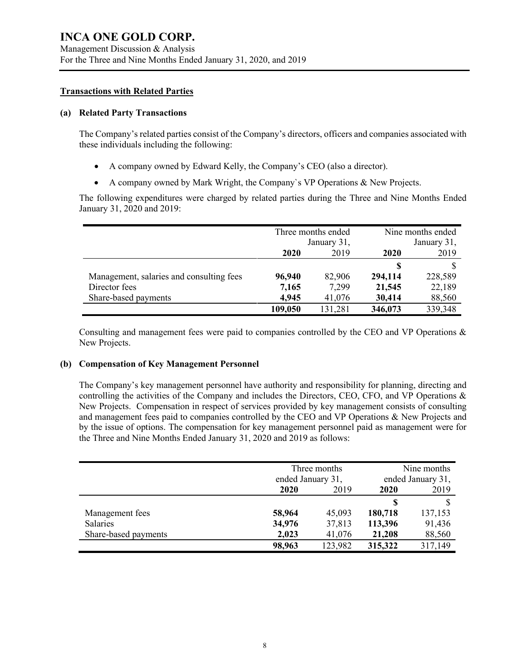## **Transactions with Related Parties**

#### **(a) Related Party Transactions**

The Company's related parties consist of the Company's directors, officers and companies associated with these individuals including the following:

- A company owned by Edward Kelly, the Company's CEO (also a director).
- A company owned by Mark Wright, the Company`s VP Operations & New Projects.

The following expenditures were charged by related parties during the Three and Nine Months Ended January 31, 2020 and 2019:

|                                          | Three months ended |         | Nine months ended |             |
|------------------------------------------|--------------------|---------|-------------------|-------------|
|                                          | January 31,        |         |                   | January 31, |
|                                          | 2020               | 2019    | 2020              | 2019        |
|                                          |                    |         | S                 |             |
| Management, salaries and consulting fees | 96,940             | 82,906  | 294,114           | 228,589     |
| Director fees                            | 7,165              | 7,299   | 21,545            | 22,189      |
| Share-based payments                     | 4,945              | 41,076  | 30,414            | 88,560      |
|                                          | 109,050            | 131,281 | 346,073           | 339,348     |

Consulting and management fees were paid to companies controlled by the CEO and VP Operations & New Projects.

## **(b) Compensation of Key Management Personnel**

The Company's key management personnel have authority and responsibility for planning, directing and controlling the activities of the Company and includes the Directors, CEO, CFO, and VP Operations & New Projects. Compensation in respect of services provided by key management consists of consulting and management fees paid to companies controlled by the CEO and VP Operations & New Projects and by the issue of options. The compensation for key management personnel paid as management were for the Three and Nine Months Ended January 31, 2020 and 2019 as follows:

|                      | Three months |                   | Nine months |                   |  |
|----------------------|--------------|-------------------|-------------|-------------------|--|
|                      |              | ended January 31, |             | ended January 31, |  |
|                      | <b>2020</b>  | 2019              | 2020        | 2019              |  |
|                      |              |                   | S           |                   |  |
| Management fees      | 58,964       | 45,093            | 180,718     | 137,153           |  |
| Salaries             | 34,976       | 37,813            | 113,396     | 91,436            |  |
| Share-based payments | 2,023        | 41,076            | 21,208      | 88,560            |  |
|                      | 98,963       | 123,982           | 315,322     | 317,149           |  |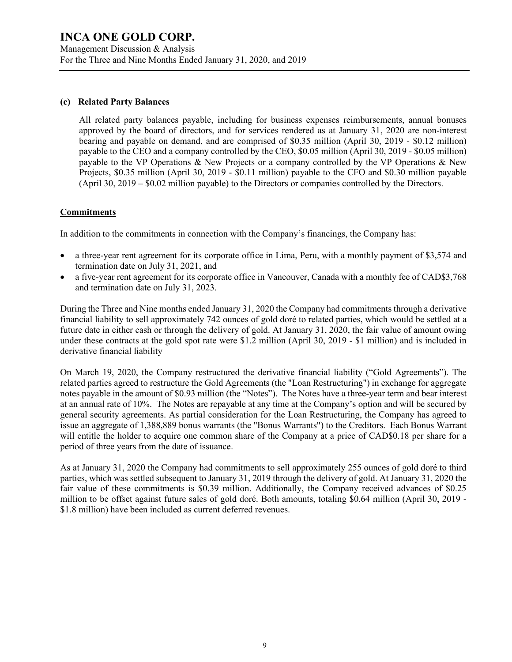## **(c) Related Party Balances**

All related party balances payable, including for business expenses reimbursements, annual bonuses approved by the board of directors, and for services rendered as at January 31, 2020 are non-interest bearing and payable on demand, and are comprised of \$0.35 million (April 30, 2019 - \$0.12 million) payable to the CEO and a company controlled by the CEO, \$0.05 million (April 30, 2019 - \$0.05 million) payable to the VP Operations & New Projects or a company controlled by the VP Operations & New Projects, \$0.35 million (April 30, 2019 - \$0.11 million) payable to the CFO and \$0.30 million payable (April 30, 2019 – \$0.02 million payable) to the Directors or companies controlled by the Directors.

# **Commitments**

In addition to the commitments in connection with the Company's financings, the Company has:

- a three-year rent agreement for its corporate office in Lima, Peru, with a monthly payment of \$3,574 and termination date on July 31, 2021, and
- a five-year rent agreement for its corporate office in Vancouver, Canada with a monthly fee of CAD\$3,768 and termination date on July 31, 2023.

During the Three and Nine months ended January 31, 2020 the Company had commitments through a derivative financial liability to sell approximately 742 ounces of gold doré to related parties, which would be settled at a future date in either cash or through the delivery of gold. At January 31, 2020, the fair value of amount owing under these contracts at the gold spot rate were \$1.2 million (April 30, 2019 - \$1 million) and is included in derivative financial liability

On March 19, 2020, the Company restructured the derivative financial liability ("Gold Agreements"). The related parties agreed to restructure the Gold Agreements (the "Loan Restructuring") in exchange for aggregate notes payable in the amount of \$0.93 million (the "Notes"). The Notes have a three-year term and bear interest at an annual rate of 10%. The Notes are repayable at any time at the Company's option and will be secured by general security agreements. As partial consideration for the Loan Restructuring, the Company has agreed to issue an aggregate of 1,388,889 bonus warrants (the "Bonus Warrants") to the Creditors. Each Bonus Warrant will entitle the holder to acquire one common share of the Company at a price of CAD\$0.18 per share for a period of three years from the date of issuance.

As at January 31, 2020 the Company had commitments to sell approximately 255 ounces of gold doré to third parties, which was settled subsequent to January 31, 2019 through the delivery of gold. At January 31, 2020 the fair value of these commitments is \$0.39 million. Additionally, the Company received advances of \$0.25 million to be offset against future sales of gold doré. Both amounts, totaling \$0.64 million (April 30, 2019 - \$1.8 million) have been included as current deferred revenues.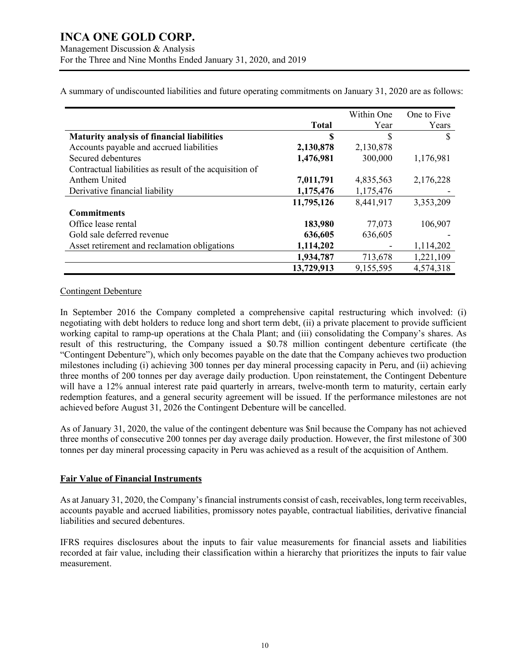#### Management Discussion & Analysis For the Three and Nine Months Ended January 31, 2020, and 2019

|                                                         |              | Within One | One to Five |
|---------------------------------------------------------|--------------|------------|-------------|
|                                                         | <b>Total</b> | Year       | Years       |
| <b>Maturity analysis of financial liabilities</b>       | \$           | S          | \$          |
| Accounts payable and accrued liabilities                | 2,130,878    | 2,130,878  |             |
| Secured debentures                                      | 1,476,981    | 300,000    | 1,176,981   |
| Contractual liabilities as result of the acquisition of |              |            |             |
| Anthem United                                           | 7,011,791    | 4,835,563  | 2,176,228   |
| Derivative financial liability                          | 1,175,476    | 1,175,476  |             |
|                                                         | 11,795,126   | 8,441,917  | 3,353,209   |
| <b>Commitments</b>                                      |              |            |             |
| Office lease rental                                     | 183,980      | 77,073     | 106,907     |
| Gold sale deferred revenue                              | 636,605      | 636,605    |             |
| Asset retirement and reclamation obligations            | 1,114,202    |            | 1,114,202   |
|                                                         | 1,934,787    | 713,678    | 1,221,109   |
|                                                         | 13,729,913   | 9,155,595  | 4,574,318   |

A summary of undiscounted liabilities and future operating commitments on January 31, 2020 are as follows:

## Contingent Debenture

In September 2016 the Company completed a comprehensive capital restructuring which involved: (i) negotiating with debt holders to reduce long and short term debt, (ii) a private placement to provide sufficient working capital to ramp-up operations at the Chala Plant; and (iii) consolidating the Company's shares. As result of this restructuring, the Company issued a \$0.78 million contingent debenture certificate (the "Contingent Debenture"), which only becomes payable on the date that the Company achieves two production milestones including (i) achieving 300 tonnes per day mineral processing capacity in Peru, and (ii) achieving three months of 200 tonnes per day average daily production. Upon reinstatement, the Contingent Debenture will have a 12% annual interest rate paid quarterly in arrears, twelve-month term to maturity, certain early redemption features, and a general security agreement will be issued. If the performance milestones are not achieved before August 31, 2026 the Contingent Debenture will be cancelled.

As of January 31, 2020, the value of the contingent debenture was \$nil because the Company has not achieved three months of consecutive 200 tonnes per day average daily production. However, the first milestone of 300 tonnes per day mineral processing capacity in Peru was achieved as a result of the acquisition of Anthem.

## **Fair Value of Financial Instruments**

As at January 31, 2020, the Company's financial instruments consist of cash, receivables, long term receivables, accounts payable and accrued liabilities, promissory notes payable, contractual liabilities, derivative financial liabilities and secured debentures.

IFRS requires disclosures about the inputs to fair value measurements for financial assets and liabilities recorded at fair value, including their classification within a hierarchy that prioritizes the inputs to fair value measurement.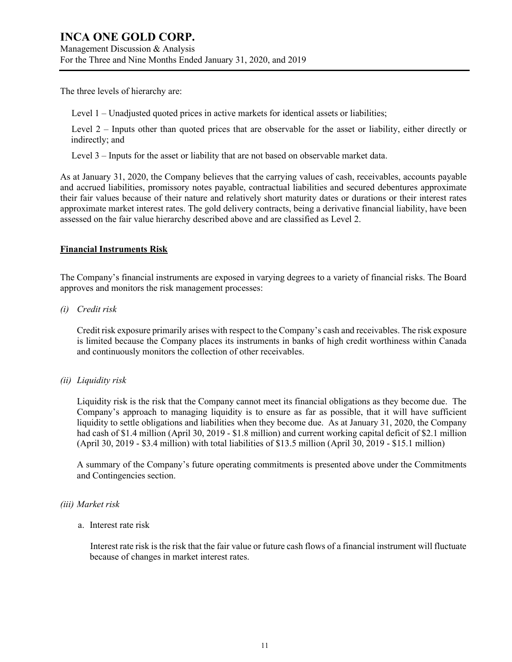The three levels of hierarchy are:

- Level 1 Unadjusted quoted prices in active markets for identical assets or liabilities;
- Level 2 Inputs other than quoted prices that are observable for the asset or liability, either directly or indirectly; and
- Level 3 Inputs for the asset or liability that are not based on observable market data.

As at January 31, 2020, the Company believes that the carrying values of cash, receivables, accounts payable and accrued liabilities, promissory notes payable, contractual liabilities and secured debentures approximate their fair values because of their nature and relatively short maturity dates or durations or their interest rates approximate market interest rates. The gold delivery contracts, being a derivative financial liability, have been assessed on the fair value hierarchy described above and are classified as Level 2.

## **Financial Instruments Risk**

The Company's financial instruments are exposed in varying degrees to a variety of financial risks. The Board approves and monitors the risk management processes:

*(i) Credit risk*

Credit risk exposure primarily arises with respect to the Company's cash and receivables. The risk exposure is limited because the Company places its instruments in banks of high credit worthiness within Canada and continuously monitors the collection of other receivables.

#### *(ii) Liquidity risk*

Liquidity risk is the risk that the Company cannot meet its financial obligations as they become due. The Company's approach to managing liquidity is to ensure as far as possible, that it will have sufficient liquidity to settle obligations and liabilities when they become due. As at January 31, 2020, the Company had cash of \$1.4 million (April 30, 2019 - \$1.8 million) and current working capital deficit of \$2.1 million (April 30, 2019 - \$3.4 million) with total liabilities of \$13.5 million (April 30, 2019 - \$15.1 million)

A summary of the Company's future operating commitments is presented above under the Commitments and Contingencies section.

## *(iii) Market risk*

#### a. Interest rate risk

Interest rate risk is the risk that the fair value or future cash flows of a financial instrument will fluctuate because of changes in market interest rates.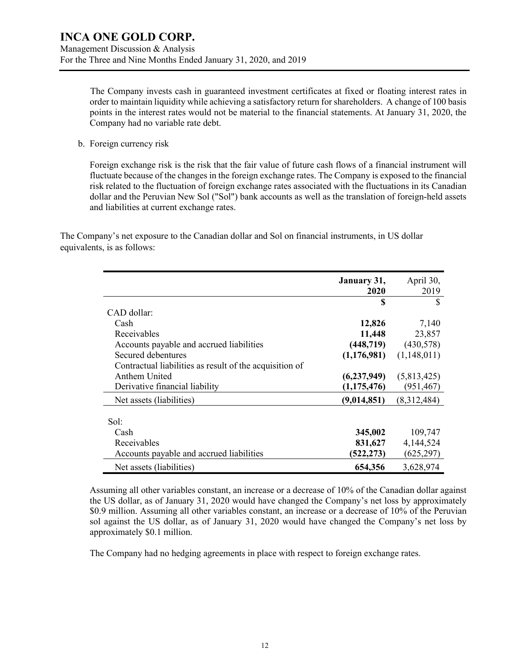The Company invests cash in guaranteed investment certificates at fixed or floating interest rates in order to maintain liquidity while achieving a satisfactory return for shareholders. A change of 100 basis points in the interest rates would not be material to the financial statements. At January 31, 2020, the Company had no variable rate debt.

b. Foreign currency risk

Foreign exchange risk is the risk that the fair value of future cash flows of a financial instrument will fluctuate because of the changes in the foreign exchange rates. The Company is exposed to the financial risk related to the fluctuation of foreign exchange rates associated with the fluctuations in its Canadian dollar and the Peruvian New Sol ("Sol") bank accounts as well as the translation of foreign-held assets and liabilities at current exchange rates.

The Company's net exposure to the Canadian dollar and Sol on financial instruments, in US dollar equivalents, is as follows:

|                                                         | January 31,<br>2020 | April 30,<br>2019 |
|---------------------------------------------------------|---------------------|-------------------|
|                                                         | S                   | S                 |
| CAD dollar:                                             |                     |                   |
| Cash                                                    | 12,826              | 7,140             |
| Receivables                                             | 11,448              | 23,857            |
| Accounts payable and accrued liabilities                | (448,719)           | (430,578)         |
| Secured debentures                                      | (1,176,981)         | (1,148,011)       |
| Contractual liabilities as result of the acquisition of |                     |                   |
| Anthem United                                           | (6,237,949)         | (5,813,425)       |
| Derivative financial liability                          | (1, 175, 476)       | (951, 467)        |
| Net assets (liabilities)                                | (9,014,851)         | (8,312,484)       |
| Sol:                                                    |                     |                   |
| Cash                                                    | 345,002             | 109,747           |
| Receivables                                             | 831,627             | 4,144,524         |
| Accounts payable and accrued liabilities                | (522, 273)          | (625, 297)        |
| Net assets (liabilities)                                | 654,356             | 3,628,974         |

Assuming all other variables constant, an increase or a decrease of 10% of the Canadian dollar against the US dollar, as of January 31, 2020 would have changed the Company's net loss by approximately \$0.9 million. Assuming all other variables constant, an increase or a decrease of 10% of the Peruvian sol against the US dollar, as of January 31, 2020 would have changed the Company's net loss by approximately \$0.1 million.

The Company had no hedging agreements in place with respect to foreign exchange rates.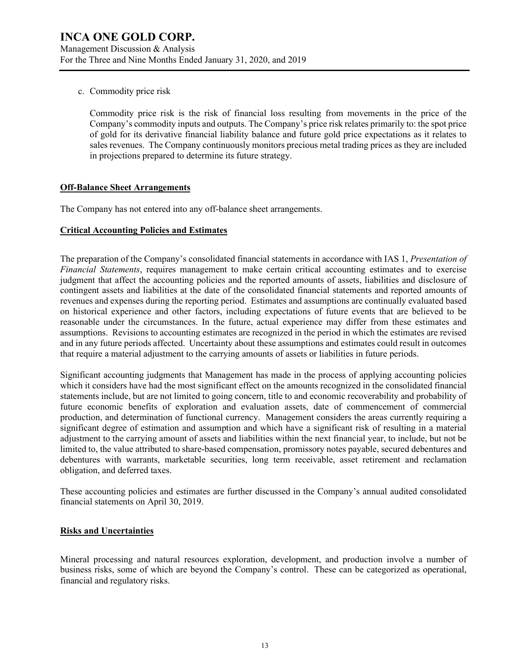c. Commodity price risk

Commodity price risk is the risk of financial loss resulting from movements in the price of the Company's commodity inputs and outputs. The Company's price risk relates primarily to: the spot price of gold for its derivative financial liability balance and future gold price expectations as it relates to sales revenues. The Company continuously monitors precious metal trading prices as they are included in projections prepared to determine its future strategy.

## **Off-Balance Sheet Arrangements**

The Company has not entered into any off-balance sheet arrangements.

## **Critical Accounting Policies and Estimates**

The preparation of the Company's consolidated financial statements in accordance with IAS 1, *Presentation of Financial Statements*, requires management to make certain critical accounting estimates and to exercise judgment that affect the accounting policies and the reported amounts of assets, liabilities and disclosure of contingent assets and liabilities at the date of the consolidated financial statements and reported amounts of revenues and expenses during the reporting period. Estimates and assumptions are continually evaluated based on historical experience and other factors, including expectations of future events that are believed to be reasonable under the circumstances. In the future, actual experience may differ from these estimates and assumptions. Revisions to accounting estimates are recognized in the period in which the estimates are revised and in any future periods affected. Uncertainty about these assumptions and estimates could result in outcomes that require a material adjustment to the carrying amounts of assets or liabilities in future periods.

Significant accounting judgments that Management has made in the process of applying accounting policies which it considers have had the most significant effect on the amounts recognized in the consolidated financial statements include, but are not limited to going concern, title to and economic recoverability and probability of future economic benefits of exploration and evaluation assets, date of commencement of commercial production, and determination of functional currency. Management considers the areas currently requiring a significant degree of estimation and assumption and which have a significant risk of resulting in a material adjustment to the carrying amount of assets and liabilities within the next financial year, to include, but not be limited to, the value attributed to share-based compensation, promissory notes payable, secured debentures and debentures with warrants, marketable securities, long term receivable, asset retirement and reclamation obligation, and deferred taxes.

These accounting policies and estimates are further discussed in the Company's annual audited consolidated financial statements on April 30, 2019.

## **Risks and Uncertainties**

Mineral processing and natural resources exploration, development, and production involve a number of business risks, some of which are beyond the Company's control. These can be categorized as operational, financial and regulatory risks.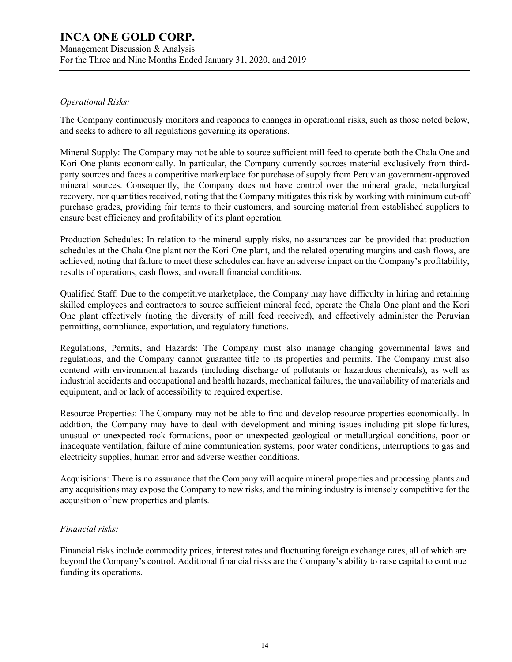Management Discussion & Analysis For the Three and Nine Months Ended January 31, 2020, and 2019

## *Operational Risks:*

The Company continuously monitors and responds to changes in operational risks, such as those noted below, and seeks to adhere to all regulations governing its operations.

Mineral Supply: The Company may not be able to source sufficient mill feed to operate both the Chala One and Kori One plants economically. In particular, the Company currently sources material exclusively from thirdparty sources and faces a competitive marketplace for purchase of supply from Peruvian government-approved mineral sources. Consequently, the Company does not have control over the mineral grade, metallurgical recovery, nor quantities received, noting that the Company mitigates this risk by working with minimum cut-off purchase grades, providing fair terms to their customers, and sourcing material from established suppliers to ensure best efficiency and profitability of its plant operation.

Production Schedules: In relation to the mineral supply risks, no assurances can be provided that production schedules at the Chala One plant nor the Kori One plant, and the related operating margins and cash flows, are achieved, noting that failure to meet these schedules can have an adverse impact on the Company's profitability, results of operations, cash flows, and overall financial conditions.

Qualified Staff: Due to the competitive marketplace, the Company may have difficulty in hiring and retaining skilled employees and contractors to source sufficient mineral feed, operate the Chala One plant and the Kori One plant effectively (noting the diversity of mill feed received), and effectively administer the Peruvian permitting, compliance, exportation, and regulatory functions.

Regulations, Permits, and Hazards: The Company must also manage changing governmental laws and regulations, and the Company cannot guarantee title to its properties and permits. The Company must also contend with environmental hazards (including discharge of pollutants or hazardous chemicals), as well as industrial accidents and occupational and health hazards, mechanical failures, the unavailability of materials and equipment, and or lack of accessibility to required expertise.

Resource Properties: The Company may not be able to find and develop resource properties economically. In addition, the Company may have to deal with development and mining issues including pit slope failures, unusual or unexpected rock formations, poor or unexpected geological or metallurgical conditions, poor or inadequate ventilation, failure of mine communication systems, poor water conditions, interruptions to gas and electricity supplies, human error and adverse weather conditions.

Acquisitions: There is no assurance that the Company will acquire mineral properties and processing plants and any acquisitions may expose the Company to new risks, and the mining industry is intensely competitive for the acquisition of new properties and plants.

# *Financial risks:*

Financial risks include commodity prices, interest rates and fluctuating foreign exchange rates, all of which are beyond the Company's control. Additional financial risks are the Company's ability to raise capital to continue funding its operations.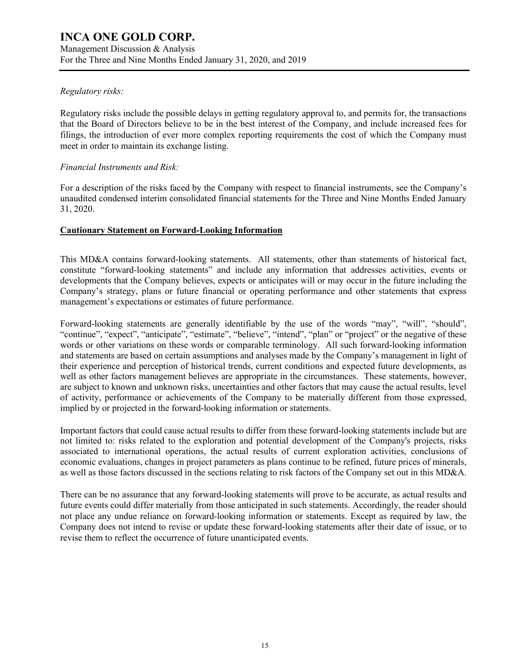Management Discussion & Analysis For the Three and Nine Months Ended January 31, 2020, and 2019

## *Regulatory risks:*

Regulatory risks include the possible delays in getting regulatory approval to, and permits for, the transactions that the Board of Directors believe to be in the best interest of the Company, and include increased fees for filings, the introduction of ever more complex reporting requirements the cost of which the Company must meet in order to maintain its exchange listing.

## *Financial Instruments and Risk:*

For a description of the risks faced by the Company with respect to financial instruments, see the Company's unaudited condensed interim consolidated financial statements for the Three and Nine Months Ended January 31, 2020.

# **Cautionary Statement on Forward-Looking Information**

This MD&A contains forward-looking statements. All statements, other than statements of historical fact, constitute "forward-looking statements" and include any information that addresses activities, events or developments that the Company believes, expects or anticipates will or may occur in the future including the Company's strategy, plans or future financial or operating performance and other statements that express management's expectations or estimates of future performance.

Forward-looking statements are generally identifiable by the use of the words "may", "will", "should", "continue", "expect", "anticipate", "estimate", "believe", "intend", "plan" or "project" or the negative of these words or other variations on these words or comparable terminology. All such forward-looking information and statements are based on certain assumptions and analyses made by the Company's management in light of their experience and perception of historical trends, current conditions and expected future developments, as well as other factors management believes are appropriate in the circumstances. These statements, however, are subject to known and unknown risks, uncertainties and other factors that may cause the actual results, level of activity, performance or achievements of the Company to be materially different from those expressed, implied by or projected in the forward-looking information or statements.

Important factors that could cause actual results to differ from these forward-looking statements include but are not limited to: risks related to the exploration and potential development of the Company's projects, risks associated to international operations, the actual results of current exploration activities, conclusions of economic evaluations, changes in project parameters as plans continue to be refined, future prices of minerals, as well as those factors discussed in the sections relating to risk factors of the Company set out in this MD&A.

There can be no assurance that any forward-looking statements will prove to be accurate, as actual results and future events could differ materially from those anticipated in such statements. Accordingly, the reader should not place any undue reliance on forward-looking information or statements. Except as required by law, the Company does not intend to revise or update these forward-looking statements after their date of issue, or to revise them to reflect the occurrence of future unanticipated events.